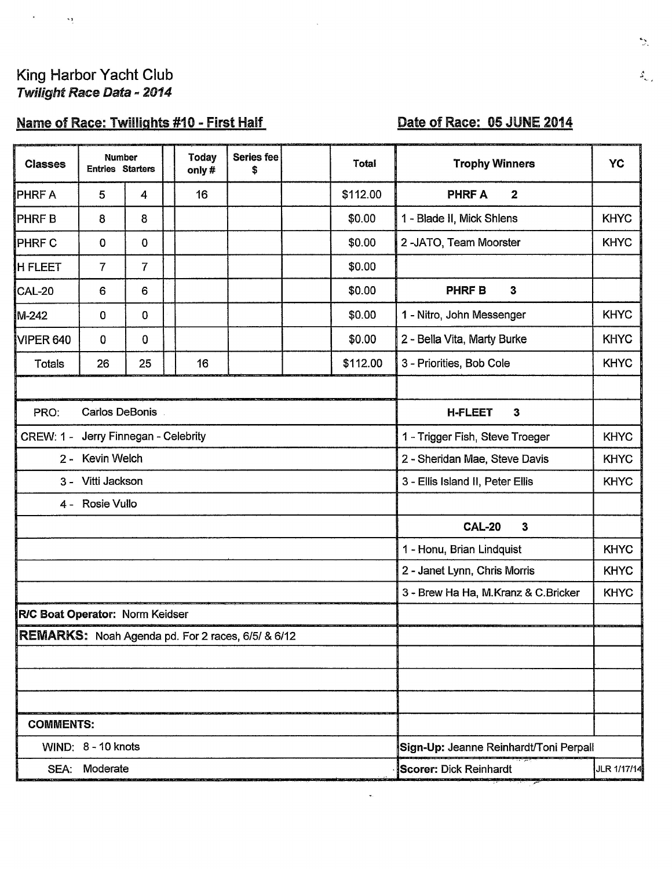# King Harbor Yacht Club<br>Twilight Race Data - 2014

 $\overline{\mathbf{S}}$  and  $\overline{\mathbf{S}}$ 

## Name of Race: Twillights #10 - First Half

### Date of Race: 05 JUNE 2014

| <b>Classes</b>                                    | Number<br><b>Entries Starters</b> |    |  | <b>Series fee</b><br><b>Today</b><br>only#<br>S |                                     | Total       | <b>Trophy Winners</b> | YC                                     |             |  |  |
|---------------------------------------------------|-----------------------------------|----|--|-------------------------------------------------|-------------------------------------|-------------|-----------------------|----------------------------------------|-------------|--|--|
| <b>PHRF A</b>                                     | 5                                 | 4  |  | 16                                              |                                     |             | \$112.00              | <b>PHRF A</b><br>$\overline{2}$        |             |  |  |
| <b>PHRFB</b>                                      | 8                                 | 8  |  |                                                 |                                     |             | \$0.00                | 1 - Blade II, Mick Shlens              | <b>KHYC</b> |  |  |
| <b>PHRF C</b>                                     | 0                                 | 0  |  |                                                 |                                     |             | \$0.00                | 2-JATO, Team Moorster                  | <b>KHYC</b> |  |  |
| <b>H FLEET</b>                                    | 7                                 | 7  |  |                                                 |                                     |             | \$0.00                |                                        |             |  |  |
| CAL-20                                            | 6                                 | 6  |  |                                                 |                                     |             | \$0.00                | $\mathbf{3}$<br><b>PHRFB</b>           |             |  |  |
| M-242                                             | $\mathbf 0$                       | 0  |  |                                                 |                                     |             | \$0.00                | 1 - Nitro, John Messenger              | <b>KHYC</b> |  |  |
| VIPER 640                                         | 0                                 | 0  |  |                                                 |                                     |             | \$0.00                | 2 - Bella Vita, Marty Burke            | <b>KHYC</b> |  |  |
| Totals                                            | 26                                | 25 |  | 16                                              |                                     |             | \$112.00              | 3 - Priorities, Bob Cole               | <b>KHYC</b> |  |  |
|                                                   |                                   |    |  |                                                 |                                     |             |                       |                                        |             |  |  |
| PRO:                                              | Carlos DeBonis                    |    |  |                                                 | <b>H-FLEET</b><br>$\mathbf{3}$      |             |                       |                                        |             |  |  |
| CREW: 1 - Jerry Finnegan - Celebrity              |                                   |    |  |                                                 | 1 - Trigger Fish, Steve Troeger     | <b>KHYC</b> |                       |                                        |             |  |  |
|                                                   | 2 - Kevin Welch                   |    |  |                                                 | 2 - Sheridan Mae, Steve Davis       | <b>KHYC</b> |                       |                                        |             |  |  |
|                                                   | 3 - Vitti Jackson                 |    |  |                                                 | 3 - Ellis Island II, Peter Ellis    | <b>KHYC</b> |                       |                                        |             |  |  |
| 4 - Rosie Vullo                                   |                                   |    |  |                                                 |                                     |             |                       |                                        |             |  |  |
|                                                   |                                   |    |  |                                                 |                                     |             |                       | <b>CAL-20</b><br>$\mathbf{3}$          |             |  |  |
|                                                   |                                   |    |  |                                                 | 1 - Honu, Brian Lindquist           | <b>KHYC</b> |                       |                                        |             |  |  |
|                                                   |                                   |    |  |                                                 | 2 - Janet Lynn, Chris Morris        | <b>KHYC</b> |                       |                                        |             |  |  |
|                                                   |                                   |    |  |                                                 | 3 - Brew Ha Ha, M.Kranz & C.Bricker | <b>KHYC</b> |                       |                                        |             |  |  |
| R/C Boat Operator: Norm Keidser                   |                                   |    |  |                                                 |                                     |             |                       |                                        |             |  |  |
| REMARKS: Noah Agenda pd. For 2 races, 6/5/ & 6/12 |                                   |    |  |                                                 |                                     |             |                       |                                        |             |  |  |
|                                                   |                                   |    |  |                                                 |                                     |             |                       |                                        |             |  |  |
|                                                   |                                   |    |  |                                                 |                                     |             |                       |                                        |             |  |  |
|                                                   |                                   |    |  |                                                 |                                     |             |                       |                                        |             |  |  |
| <b>COMMENTS:</b>                                  |                                   |    |  |                                                 |                                     |             |                       |                                        |             |  |  |
| WIND: 8 - 10 knots                                |                                   |    |  |                                                 |                                     |             |                       | Sign-Up: Jeanne Reinhardt/Toni Perpall |             |  |  |
| SEA: Moderate                                     |                                   |    |  |                                                 |                                     |             |                       | Scorer: Dick Reinhardt<br>JLR 1/17/14  |             |  |  |

 $\mathbf{u}_1$ 

 $\overline{\phantom{a}}$ 

 $\mathbb{R}$ 

 $\mathfrak{s}_{\mathbb{Q}_2}$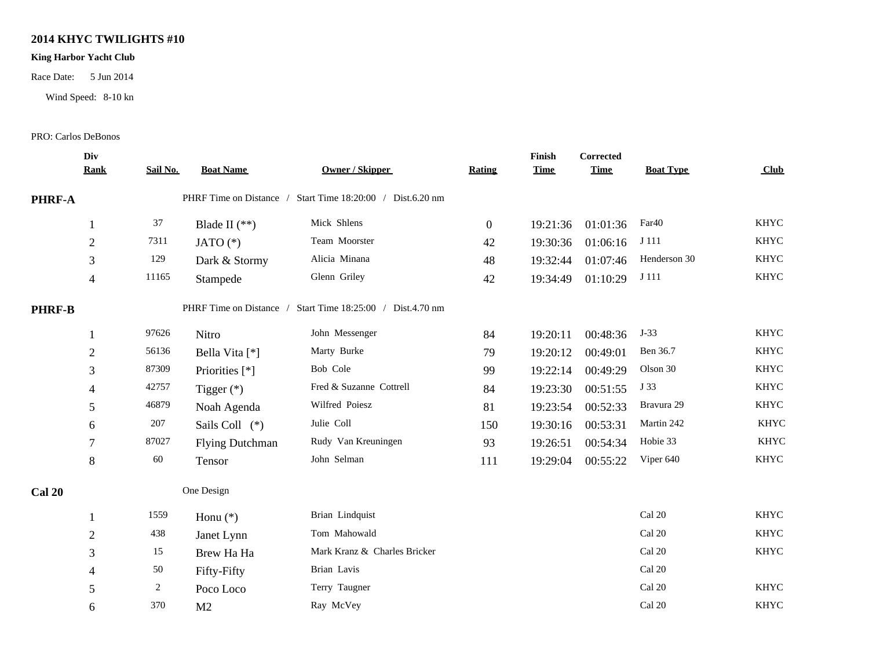#### **2014 KHYC TWILIGHTS #10**

#### **King Harbor Yacht Club**

Race Date: 5 Jun 2014

Wind Speed: 8-10 kn

#### PRO: Carlos DeBonos

|               | Div<br><b>Rank</b> | Sail No. | <b>Boat Name</b>       | <b>Owner / Skipper</b>                                     | <b>Rating</b>  | Finish<br><b>Time</b> | <b>Corrected</b><br><b>Time</b> | <b>Boat Type</b> | Club        |  |
|---------------|--------------------|----------|------------------------|------------------------------------------------------------|----------------|-----------------------|---------------------------------|------------------|-------------|--|
| PHRF-A        |                    |          |                        | PHRF Time on Distance / Start Time 18:20:00 / Dist.6.20 nm |                |                       |                                 |                  |             |  |
|               |                    | 37       | Blade II $(**)$        | Mick Shlens                                                | $\overline{0}$ | 19:21:36              | 01:01:36                        | Far40            | <b>KHYC</b> |  |
|               | $\overline{2}$     | 7311     | JATO $(*)$             | Team Moorster                                              | 42             | 19:30:36              | 01:06:16                        | J 111            | <b>KHYC</b> |  |
|               | 3                  | 129      | Dark & Stormy          | Alicia Minana                                              | 48             | 19:32:44              | 01:07:46                        | Henderson 30     | <b>KHYC</b> |  |
|               | $\overline{4}$     | 11165    | Stampede               | Glenn Griley                                               | 42             | 19:34:49              | 01:10:29                        | J 111            | <b>KHYC</b> |  |
| <b>PHRF-B</b> |                    |          |                        | PHRF Time on Distance / Start Time 18:25:00 / Dist.4.70 nm |                |                       |                                 |                  |             |  |
|               |                    | 97626    | Nitro                  | John Messenger                                             | 84             | 19:20:11              | 00:48:36                        | $J-33$           | <b>KHYC</b> |  |
|               | $\overline{2}$     | 56136    | Bella Vita [*]         | Marty Burke                                                | 79             | 19:20:12              | 00:49:01                        | Ben 36.7         | <b>KHYC</b> |  |
|               | 3                  | 87309    | Priorities [*]         | Bob Cole                                                   | 99             | 19:22:14              | 00:49:29                        | Olson 30         | <b>KHYC</b> |  |
|               | 4                  | 42757    | Tigger $(*)$           | Fred & Suzanne Cottrell                                    | 84             | 19:23:30              | 00:51:55                        | J 33             | <b>KHYC</b> |  |
|               | 5                  | 46879    | Noah Agenda            | Wilfred Poiesz                                             | 81             | 19:23:54              | 00:52:33                        | Bravura 29       | <b>KHYC</b> |  |
|               | 6                  | 207      | Sails Coll (*)         | Julie Coll                                                 | 150            | 19:30:16              | 00:53:31                        | Martin 242       | <b>KHYC</b> |  |
|               | 7                  | 87027    | <b>Flying Dutchman</b> | Rudy Van Kreuningen                                        | 93             | 19:26:51              | 00:54:34                        | Hobie 33         | <b>KHYC</b> |  |
|               | $8\,$              | 60       | Tensor                 | John Selman                                                | 111            | 19:29:04              | 00:55:22                        | Viper 640        | <b>KHYC</b> |  |
| Cal 20        |                    |          | One Design             |                                                            |                |                       |                                 |                  |             |  |
|               |                    | 1559     | Honu $(*)$             | Brian Lindquist                                            |                |                       |                                 | Cal 20           | <b>KHYC</b> |  |
|               | $\overline{2}$     | 438      | Janet Lynn             | Tom Mahowald                                               |                |                       |                                 | Cal 20           | <b>KHYC</b> |  |
|               | 3                  | 15       | Brew Ha Ha             | Mark Kranz & Charles Bricker                               |                |                       |                                 | Cal 20           | <b>KHYC</b> |  |
|               | 4                  | 50       | Fifty-Fifty            | Brian Lavis                                                |                |                       |                                 | Cal 20           |             |  |
|               | 5                  | 2        | Poco Loco              | Terry Taugner                                              |                |                       |                                 | Cal 20           | <b>KHYC</b> |  |
|               | 6                  | 370      | M <sub>2</sub>         | Ray McVey                                                  |                |                       |                                 | Cal 20           | <b>KHYC</b> |  |